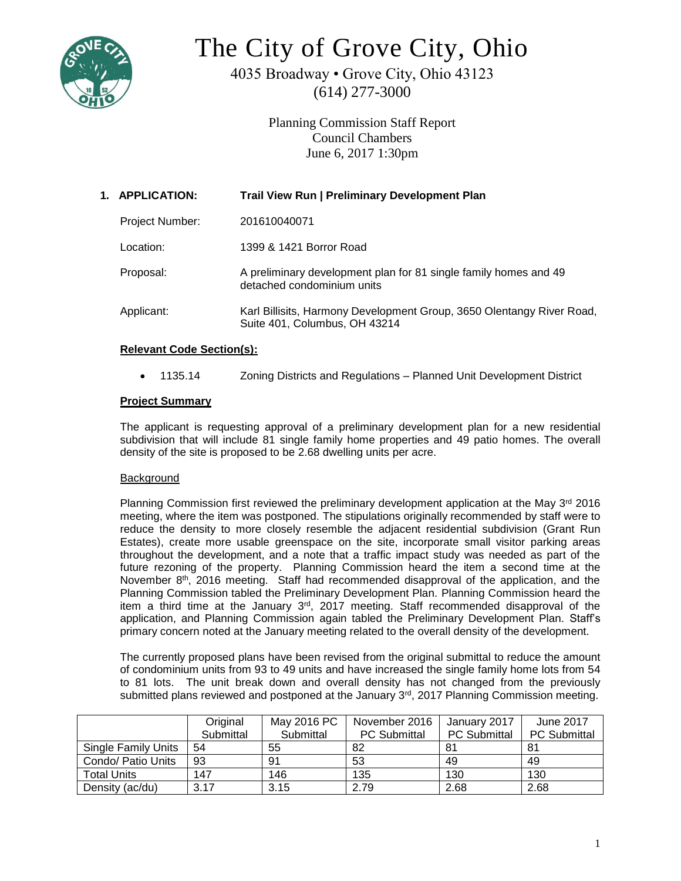

# The City of Grove City, Ohio

4035 Broadway • Grove City, Ohio 43123 (614) 277-3000

> Planning Commission Staff Report Council Chambers June 6, 2017 1:30pm

| 1. APPLICATION:        | <b>Trail View Run   Preliminary Development Plan</b>                                                   |  |  |
|------------------------|--------------------------------------------------------------------------------------------------------|--|--|
| <b>Project Number:</b> | 201610040071                                                                                           |  |  |
| Location:              | 1399 & 1421 Borror Road                                                                                |  |  |
| Proposal:              | A preliminary development plan for 81 single family homes and 49<br>detached condominium units         |  |  |
| Applicant:             | Karl Billisits, Harmony Development Group, 3650 Olentangy River Road,<br>Suite 401, Columbus, OH 43214 |  |  |

# **Relevant Code Section(s):**

• 1135.14 Zoning Districts and Regulations – Planned Unit Development District

# **Project Summary**

The applicant is requesting approval of a preliminary development plan for a new residential subdivision that will include 81 single family home properties and 49 patio homes. The overall density of the site is proposed to be 2.68 dwelling units per acre.

# **Background**

Planning Commission first reviewed the preliminary development application at the May 3<sup>rd</sup> 2016 meeting, where the item was postponed. The stipulations originally recommended by staff were to reduce the density to more closely resemble the adjacent residential subdivision (Grant Run Estates), create more usable greenspace on the site, incorporate small visitor parking areas throughout the development, and a note that a traffic impact study was needed as part of the future rezoning of the property. Planning Commission heard the item a second time at the November  $8<sup>th</sup>$ , 2016 meeting. Staff had recommended disapproval of the application, and the Planning Commission tabled the Preliminary Development Plan. Planning Commission heard the item a third time at the January 3<sup>rd</sup>, 2017 meeting. Staff recommended disapproval of the application, and Planning Commission again tabled the Preliminary Development Plan. Staff's primary concern noted at the January meeting related to the overall density of the development.

The currently proposed plans have been revised from the original submittal to reduce the amount of condominium units from 93 to 49 units and have increased the single family home lots from 54 to 81 lots. The unit break down and overall density has not changed from the previously submitted plans reviewed and postponed at the January 3<sup>rd</sup>, 2017 Planning Commission meeting.

|                            | Original<br>Submittal | May 2016 PC<br>Submittal | November 2016<br><b>PC Submittal</b> | January 2017<br><b>PC</b> Submittal | June 2017<br><b>PC</b> Submittal |
|----------------------------|-----------------------|--------------------------|--------------------------------------|-------------------------------------|----------------------------------|
| <b>Single Family Units</b> | 54                    | 55                       | 82                                   | 81                                  | -81                              |
| Condo/ Patio Units         | 93                    | 91                       | 53                                   | 49                                  | 49                               |
| <b>Total Units</b>         | 147                   | 146                      | 135                                  | 130                                 | 130                              |
| Density (ac/du)            | 3.17                  | 3.15                     | 2.79                                 | 2.68                                | 2.68                             |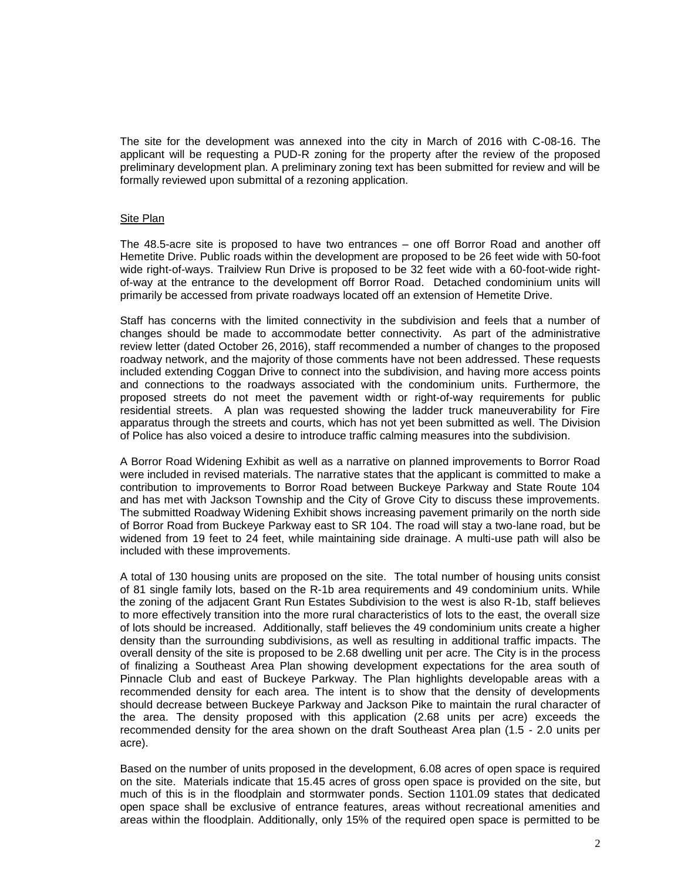The site for the development was annexed into the city in March of 2016 with C-08-16. The applicant will be requesting a PUD-R zoning for the property after the review of the proposed preliminary development plan. A preliminary zoning text has been submitted for review and will be formally reviewed upon submittal of a rezoning application.

## Site Plan

The 48.5-acre site is proposed to have two entrances – one off Borror Road and another off Hemetite Drive. Public roads within the development are proposed to be 26 feet wide with 50-foot wide right-of-ways. Trailview Run Drive is proposed to be 32 feet wide with a 60-foot-wide rightof-way at the entrance to the development off Borror Road. Detached condominium units will primarily be accessed from private roadways located off an extension of Hemetite Drive.

Staff has concerns with the limited connectivity in the subdivision and feels that a number of changes should be made to accommodate better connectivity. As part of the administrative review letter (dated October 26, 2016), staff recommended a number of changes to the proposed roadway network, and the majority of those comments have not been addressed. These requests included extending Coggan Drive to connect into the subdivision, and having more access points and connections to the roadways associated with the condominium units. Furthermore, the proposed streets do not meet the pavement width or right-of-way requirements for public residential streets. A plan was requested showing the ladder truck maneuverability for Fire apparatus through the streets and courts, which has not yet been submitted as well. The Division of Police has also voiced a desire to introduce traffic calming measures into the subdivision.

A Borror Road Widening Exhibit as well as a narrative on planned improvements to Borror Road were included in revised materials. The narrative states that the applicant is committed to make a contribution to improvements to Borror Road between Buckeye Parkway and State Route 104 and has met with Jackson Township and the City of Grove City to discuss these improvements. The submitted Roadway Widening Exhibit shows increasing pavement primarily on the north side of Borror Road from Buckeye Parkway east to SR 104. The road will stay a two-lane road, but be widened from 19 feet to 24 feet, while maintaining side drainage. A multi-use path will also be included with these improvements.

A total of 130 housing units are proposed on the site. The total number of housing units consist of 81 single family lots, based on the R-1b area requirements and 49 condominium units. While the zoning of the adjacent Grant Run Estates Subdivision to the west is also R-1b, staff believes to more effectively transition into the more rural characteristics of lots to the east, the overall size of lots should be increased. Additionally, staff believes the 49 condominium units create a higher density than the surrounding subdivisions, as well as resulting in additional traffic impacts. The overall density of the site is proposed to be 2.68 dwelling unit per acre. The City is in the process of finalizing a Southeast Area Plan showing development expectations for the area south of Pinnacle Club and east of Buckeye Parkway. The Plan highlights developable areas with a recommended density for each area. The intent is to show that the density of developments should decrease between Buckeye Parkway and Jackson Pike to maintain the rural character of the area. The density proposed with this application (2.68 units per acre) exceeds the recommended density for the area shown on the draft Southeast Area plan (1.5 - 2.0 units per acre).

Based on the number of units proposed in the development, 6.08 acres of open space is required on the site. Materials indicate that 15.45 acres of gross open space is provided on the site, but much of this is in the floodplain and stormwater ponds. Section 1101.09 states that dedicated open space shall be exclusive of entrance features, areas without recreational amenities and areas within the floodplain. Additionally, only 15% of the required open space is permitted to be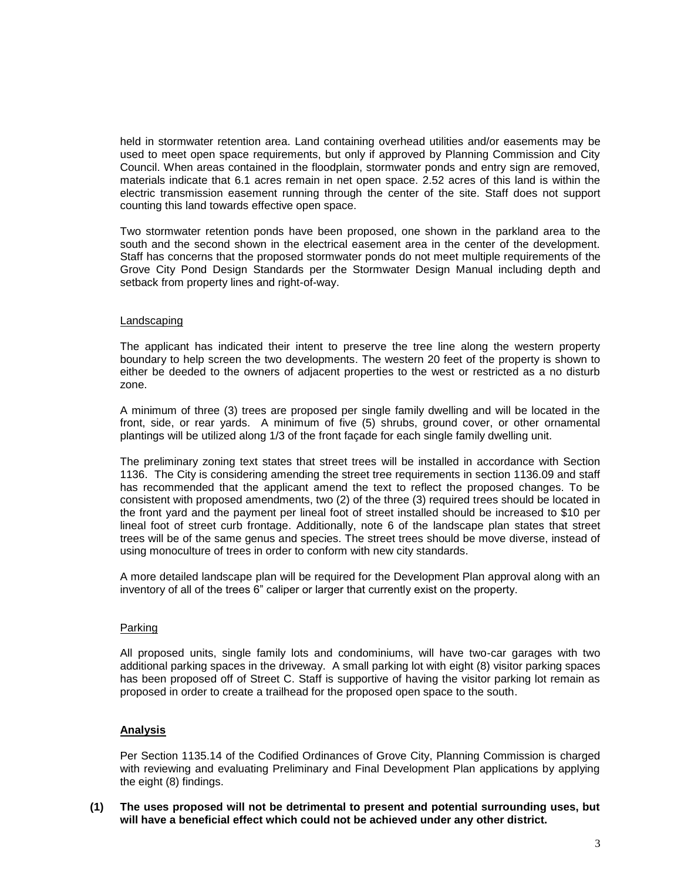held in stormwater retention area. Land containing overhead utilities and/or easements may be used to meet open space requirements, but only if approved by Planning Commission and City Council. When areas contained in the floodplain, stormwater ponds and entry sign are removed, materials indicate that 6.1 acres remain in net open space. 2.52 acres of this land is within the electric transmission easement running through the center of the site. Staff does not support counting this land towards effective open space.

Two stormwater retention ponds have been proposed, one shown in the parkland area to the south and the second shown in the electrical easement area in the center of the development. Staff has concerns that the proposed stormwater ponds do not meet multiple requirements of the Grove City Pond Design Standards per the Stormwater Design Manual including depth and setback from property lines and right-of-way.

#### Landscaping

The applicant has indicated their intent to preserve the tree line along the western property boundary to help screen the two developments. The western 20 feet of the property is shown to either be deeded to the owners of adjacent properties to the west or restricted as a no disturb zone.

A minimum of three (3) trees are proposed per single family dwelling and will be located in the front, side, or rear yards. A minimum of five (5) shrubs, ground cover, or other ornamental plantings will be utilized along 1/3 of the front façade for each single family dwelling unit.

The preliminary zoning text states that street trees will be installed in accordance with Section 1136. The City is considering amending the street tree requirements in section 1136.09 and staff has recommended that the applicant amend the text to reflect the proposed changes. To be consistent with proposed amendments, two (2) of the three (3) required trees should be located in the front yard and the payment per lineal foot of street installed should be increased to \$10 per lineal foot of street curb frontage. Additionally, note 6 of the landscape plan states that street trees will be of the same genus and species. The street trees should be move diverse, instead of using monoculture of trees in order to conform with new city standards.

A more detailed landscape plan will be required for the Development Plan approval along with an inventory of all of the trees 6" caliper or larger that currently exist on the property.

## Parking

All proposed units, single family lots and condominiums, will have two-car garages with two additional parking spaces in the driveway. A small parking lot with eight (8) visitor parking spaces has been proposed off of Street C. Staff is supportive of having the visitor parking lot remain as proposed in order to create a trailhead for the proposed open space to the south.

## **Analysis**

Per Section 1135.14 of the Codified Ordinances of Grove City, Planning Commission is charged with reviewing and evaluating Preliminary and Final Development Plan applications by applying the eight (8) findings.

**(1) The uses proposed will not be detrimental to present and potential surrounding uses, but will have a beneficial effect which could not be achieved under any other district.**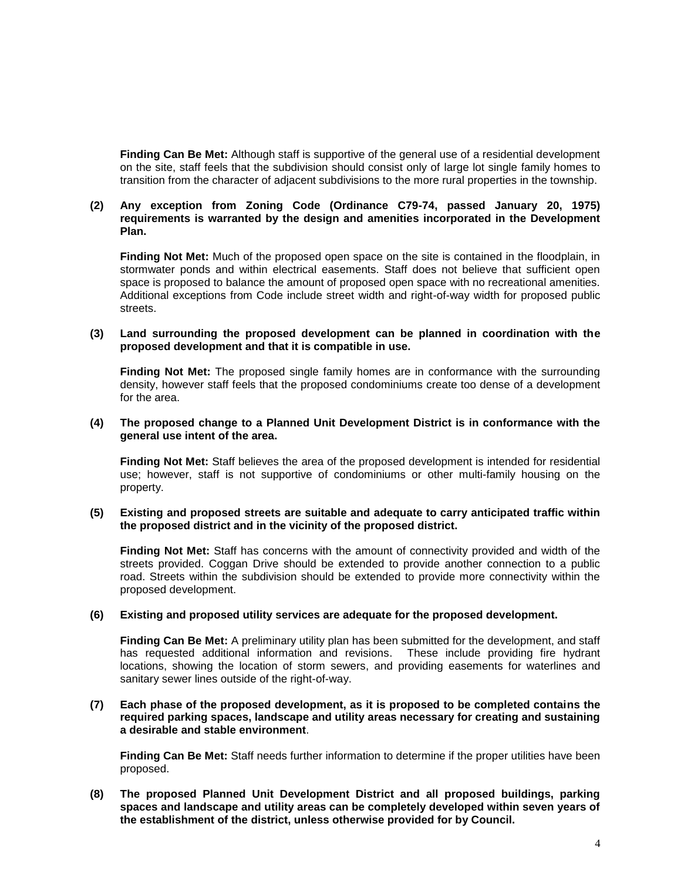**Finding Can Be Met:** Although staff is supportive of the general use of a residential development on the site, staff feels that the subdivision should consist only of large lot single family homes to transition from the character of adjacent subdivisions to the more rural properties in the township.

## **(2) Any exception from Zoning Code (Ordinance C79-74, passed January 20, 1975) requirements is warranted by the design and amenities incorporated in the Development Plan.**

**Finding Not Met:** Much of the proposed open space on the site is contained in the floodplain, in stormwater ponds and within electrical easements. Staff does not believe that sufficient open space is proposed to balance the amount of proposed open space with no recreational amenities. Additional exceptions from Code include street width and right-of-way width for proposed public streets.

#### **(3) Land surrounding the proposed development can be planned in coordination with the proposed development and that it is compatible in use.**

**Finding Not Met:** The proposed single family homes are in conformance with the surrounding density, however staff feels that the proposed condominiums create too dense of a development for the area.

#### **(4) The proposed change to a Planned Unit Development District is in conformance with the general use intent of the area.**

**Finding Not Met:** Staff believes the area of the proposed development is intended for residential use; however, staff is not supportive of condominiums or other multi-family housing on the property.

#### **(5) Existing and proposed streets are suitable and adequate to carry anticipated traffic within the proposed district and in the vicinity of the proposed district.**

**Finding Not Met:** Staff has concerns with the amount of connectivity provided and width of the streets provided. Coggan Drive should be extended to provide another connection to a public road. Streets within the subdivision should be extended to provide more connectivity within the proposed development.

#### **(6) Existing and proposed utility services are adequate for the proposed development.**

**Finding Can Be Met:** A preliminary utility plan has been submitted for the development, and staff has requested additional information and revisions. These include providing fire hydrant locations, showing the location of storm sewers, and providing easements for waterlines and sanitary sewer lines outside of the right-of-way.

## **(7) Each phase of the proposed development, as it is proposed to be completed contains the required parking spaces, landscape and utility areas necessary for creating and sustaining a desirable and stable environment**.

**Finding Can Be Met:** Staff needs further information to determine if the proper utilities have been proposed.

**(8) The proposed Planned Unit Development District and all proposed buildings, parking spaces and landscape and utility areas can be completely developed within seven years of the establishment of the district, unless otherwise provided for by Council.**